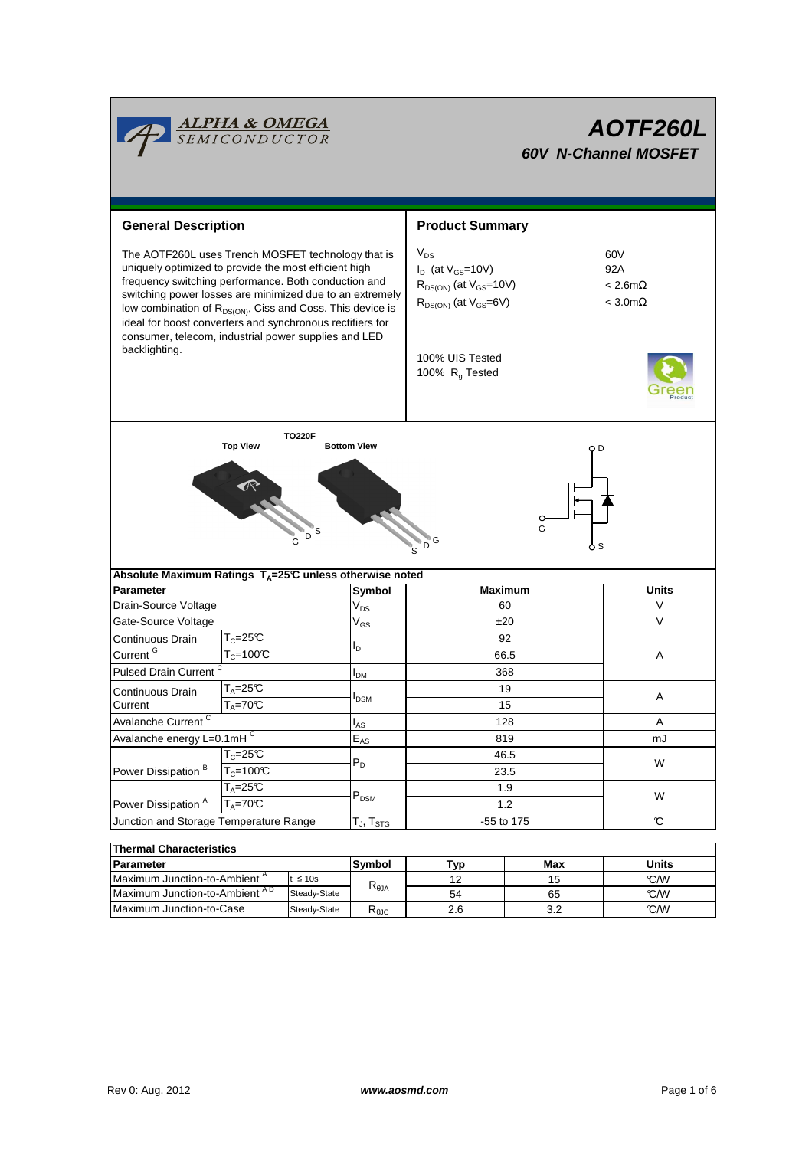

| Parameter                                 |              | <b>Symbol</b>  | Typ    | Max         | Units |  |
|-------------------------------------------|--------------|----------------|--------|-------------|-------|--|
|                                           |              |                |        |             |       |  |
| Maximum Junction-to-Ambient "             | $\leq 10s$   |                | $\sim$ |             | C/W   |  |
| Maximum Junction-to-Ambient <sup>AD</sup> | Steady-State | $R_{\theta$ JA | 54     | 65          | C/W   |  |
| Maximum Junction-to-Case                  | Steady-State | <b>LUT UC</b>  | 2.6    | ، ر-<br>J.Z | C/W   |  |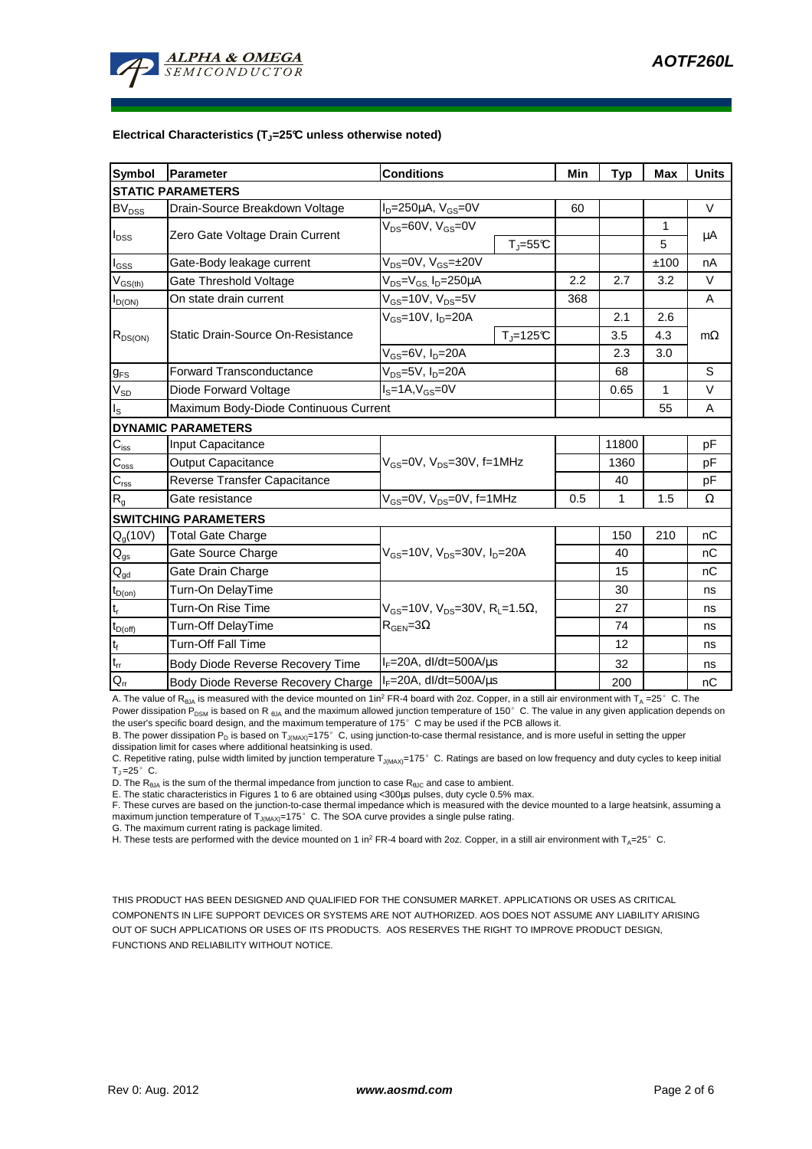

#### **Electrical Characteristics (TJ=25°C unless otherwise noted)**

| <b>Symbol</b>              | Parameter<br><b>Conditions</b>                                  |                                                                                            |              | Min  | Typ          | <b>Max</b>  | <b>Units</b> |  |  |  |  |
|----------------------------|-----------------------------------------------------------------|--------------------------------------------------------------------------------------------|--------------|------|--------------|-------------|--------------|--|--|--|--|
| <b>STATIC PARAMETERS</b>   |                                                                 |                                                                                            |              |      |              |             |              |  |  |  |  |
| <b>BV</b> <sub>DSS</sub>   | Drain-Source Breakdown Voltage                                  | $I_D = 250 \mu A$ , $V_{GS} = 0V$                                                          |              | 60   |              |             | $\vee$       |  |  |  |  |
| $I_{\text{DSS}}$           |                                                                 | $V_{DS} = 60V$ , $V_{GS} = 0V$                                                             |              |      |              | $\mathbf 1$ |              |  |  |  |  |
|                            | Zero Gate Voltage Drain Current                                 |                                                                                            | $T_J = 55C$  |      |              | 5           | μA           |  |  |  |  |
| $I_{GSS}$                  | Gate-Body leakage current                                       | $V_{DS} = 0V$ , $V_{GS} = \pm 20V$                                                         |              |      |              | ±100        | nA           |  |  |  |  |
| $V_{\text{GS}(\text{th})}$ | $V_{DS} = V_{GS}$ , $I_D = 250 \mu A$<br>Gate Threshold Voltage |                                                                                            | 2.2          | 2.7  | 3.2          | $\vee$      |              |  |  |  |  |
| $I_{D(ON)}$                | On state drain current                                          | $V_{GS}$ =10V, $V_{DS}$ =5V                                                                |              | 368  |              |             | A            |  |  |  |  |
| $R_{DS(ON)}$               | Static Drain-Source On-Resistance                               | $V_{GS}$ =10V, $I_{D}$ =20A                                                                |              |      | 2.1          | 2.6         |              |  |  |  |  |
|                            |                                                                 |                                                                                            | $T_i = 125C$ |      | 3.5          | 4.3         | $m\Omega$    |  |  |  |  |
|                            |                                                                 | $V_{GS}$ =6V, $I_{D}$ =20A                                                                 |              |      | 2.3          | 3.0         |              |  |  |  |  |
| <b>g<sub>FS</sub></b>      | <b>Forward Transconductance</b>                                 | V <sub>DS</sub> =5V, I <sub>D</sub> =20A                                                   |              |      | 68           |             | S            |  |  |  |  |
| $V_{SD}$                   | Diode Forward Voltage<br>$IS=1A, VGS=0V$                        |                                                                                            |              | 0.65 | $\mathbf{1}$ | $\vee$      |              |  |  |  |  |
| $I_{\rm S}$                | Maximum Body-Diode Continuous Current                           |                                                                                            |              |      |              | 55          | A            |  |  |  |  |
|                            | <b>DYNAMIC PARAMETERS</b>                                       |                                                                                            |              |      |              |             |              |  |  |  |  |
| $\mathbf{C}_{\text{iss}}$  | Input Capacitance                                               | $V_{GS}$ =0V, $V_{DS}$ =30V, f=1MHz                                                        |              |      | 11800        |             | pF           |  |  |  |  |
| $\overline{C_{\rm oss}}$   | <b>Output Capacitance</b>                                       |                                                                                            |              |      | 1360         |             | pF           |  |  |  |  |
| $C_{\text{rss}}$           | Reverse Transfer Capacitance                                    |                                                                                            |              |      | 40           |             | pF           |  |  |  |  |
| $R_{g}$                    | Gate resistance                                                 | $V_{GS}$ =0V, $V_{DS}$ =0V, f=1MHz                                                         |              | 0.5  | 1            | 1.5         | Ω            |  |  |  |  |
|                            | <b>SWITCHING PARAMETERS</b>                                     |                                                                                            |              |      |              |             |              |  |  |  |  |
| $Q_g(10V)$                 | <b>Total Gate Charge</b>                                        | $V_{GS}$ =10V, $V_{DS}$ =30V, $I_{D}$ =20A                                                 |              |      | 150          | 210         | nC           |  |  |  |  |
| $\mathsf{Q}_{\mathsf{gs}}$ | Gate Source Charge                                              |                                                                                            |              |      | 40           |             | nC           |  |  |  |  |
| $\mathbf{Q}_{\text{gd}}$   | Gate Drain Charge                                               |                                                                                            |              |      | 15           |             | nC           |  |  |  |  |
| $t_{D(on)}$                | Turn-On DelayTime                                               |                                                                                            |              |      | 30           |             | ns           |  |  |  |  |
| $\mathsf{t}_{\mathsf{r}}$  | Turn-On Rise Time                                               | $V_{GS}$ =10V, $V_{DS}$ =30V, R <sub>L</sub> =1.5 $\Omega$ ,<br>$R_{\text{GEN}} = 3\Omega$ |              |      | 27           |             | ns           |  |  |  |  |
| $t_{D(\text{off})}$        | Turn-Off DelayTime                                              |                                                                                            |              |      | 74           |             | ns           |  |  |  |  |
| $\mathsf{t}_{\mathsf{f}}$  | Turn-Off Fall Time                                              |                                                                                            |              |      | 12           |             | ns           |  |  |  |  |
| $\frac{t_{rr}}{Q_{rr}}$    | Body Diode Reverse Recovery Time                                | $I_F = 20A$ , dl/dt=500A/ $\mu$ s                                                          |              |      | 32           |             | ns           |  |  |  |  |
|                            | Body Diode Reverse Recovery Charge                              | I <sub>F</sub> =20A, dl/dt=500A/µs                                                         |              |      | 200          |             | nC           |  |  |  |  |

A. The value of R<sub>8JA</sub> is measured with the device mounted on 1in<sup>2</sup> FR-4 board with 2oz. Copper, in a still air environment with T<sub>A</sub> =25°C. The Power dissipation P<sub>DSM</sub> is based on R <sub>0JA</sub> and the maximum allowed junction temperature of 150°C. The value in any given application depends on the user's specific board design, and the maximum temperature of 175°C may be used if the PCB allows it.

B. The power dissipation P<sub>D</sub> is based on T<sub>J(MAX)</sub>=175°C, using junction-to-case thermal resistance, and is more useful in setting the upper dissipation limit for cases where additional heatsinking is used.

C. Repetitive rating, pulse width limited by junction temperature  $T_{J\text{IMAX}}=175^\circ$  C. Ratings are based on low frequency and duty cycles to keep initial  $T_{\parallel} = 25^{\circ}$  C.

D. The R<sub>θJA</sub> is the sum of the thermal impedance from junction to case R<sub>θJC</sub> and case to ambient.<br>E. The static characteristics in Figures 1 to 6 are obtained using <300μs pulses, duty cycle 0.5% max.

F. These curves are based on the junction-to-case thermal impedance which is measured with the device mounted to a large heatsink, assuming a maximum junction temperature of T<sub>J(MAX)</sub>=175°C. The SOA curve provides a single pulse rating.

G. The maximum current rating is package limited.

H. These tests are performed with the device mounted on 1 in<sup>2</sup> FR-4 board with 2oz. Copper, in a still air environment with T<sub>A</sub>=25°C.

THIS PRODUCT HAS BEEN DESIGNED AND QUALIFIED FOR THE CONSUMER MARKET. APPLICATIONS OR USES AS CRITICAL COMPONENTS IN LIFE SUPPORT DEVICES OR SYSTEMS ARE NOT AUTHORIZED. AOS DOES NOT ASSUME ANY LIABILITY ARISING OUT OF SUCH APPLICATIONS OR USES OF ITS PRODUCTS. AOS RESERVES THE RIGHT TO IMPROVE PRODUCT DESIGN, FUNCTIONS AND RELIABILITY WITHOUT NOTICE.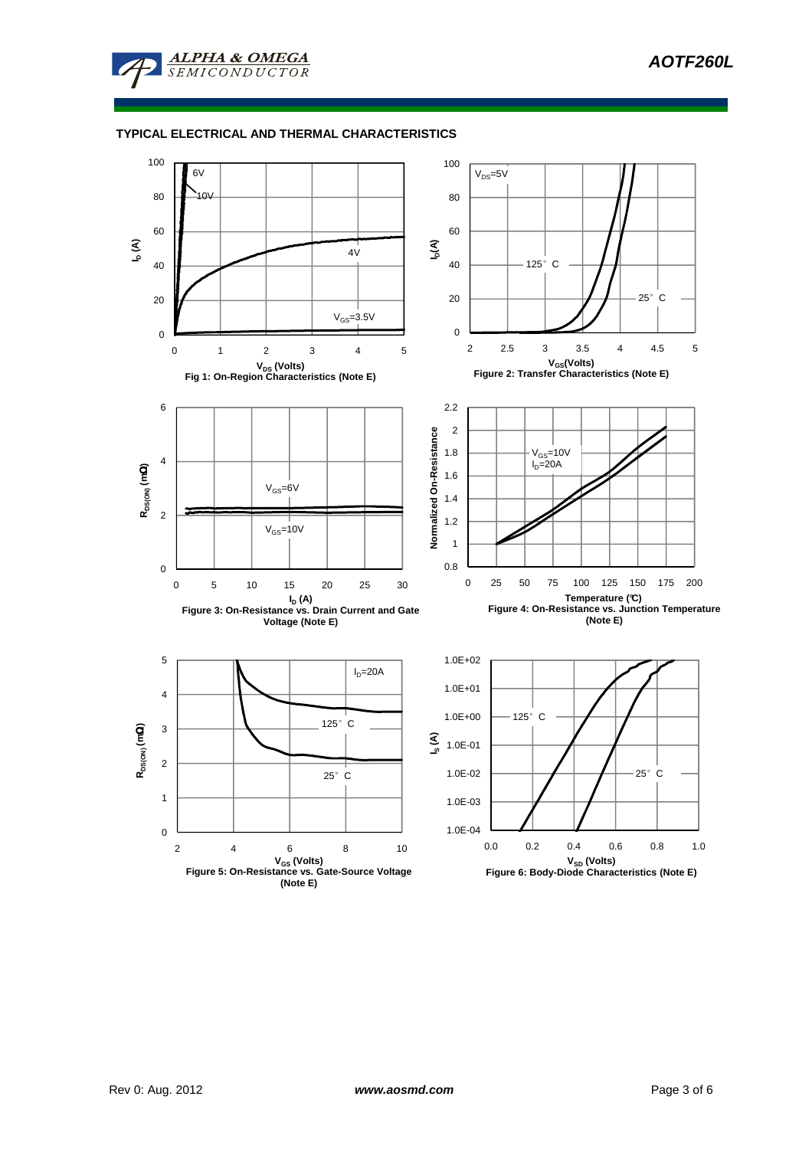

# **TYPICAL ELECTRICAL AND THERMAL CHARACTERISTICS**

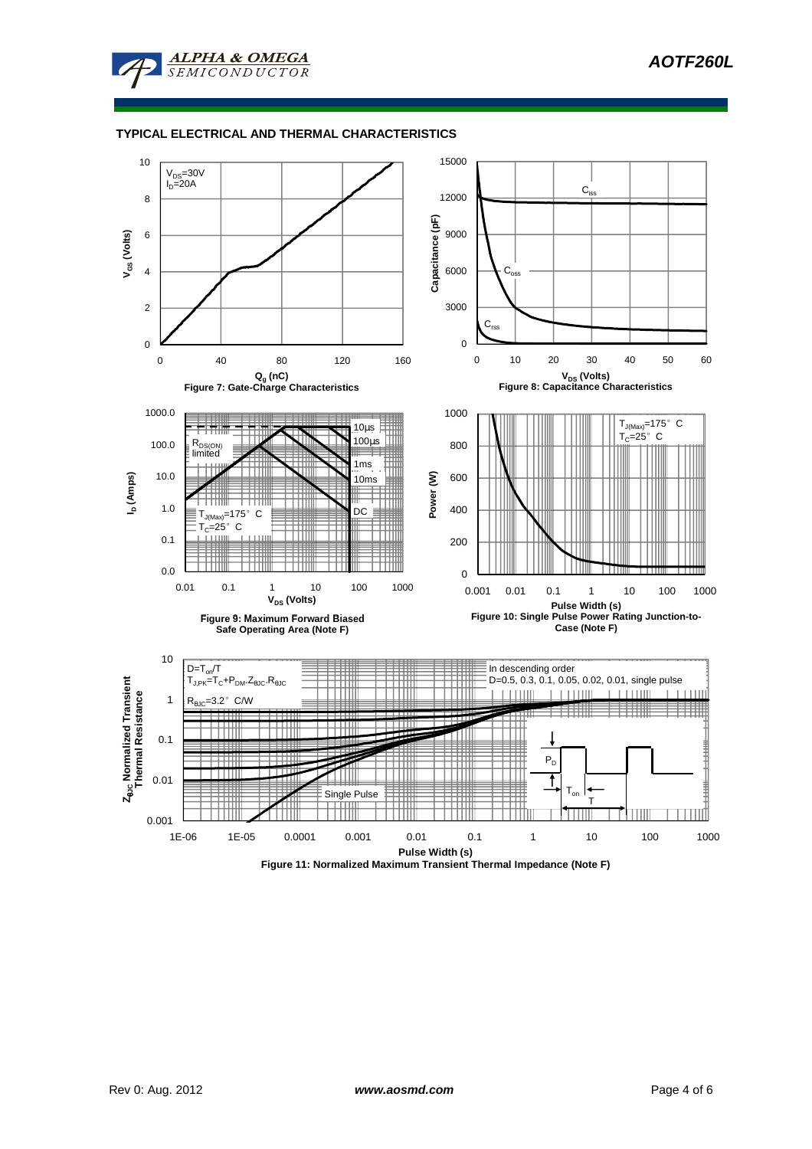

# **TYPICAL ELECTRICAL AND THERMAL CHARACTERISTICS**

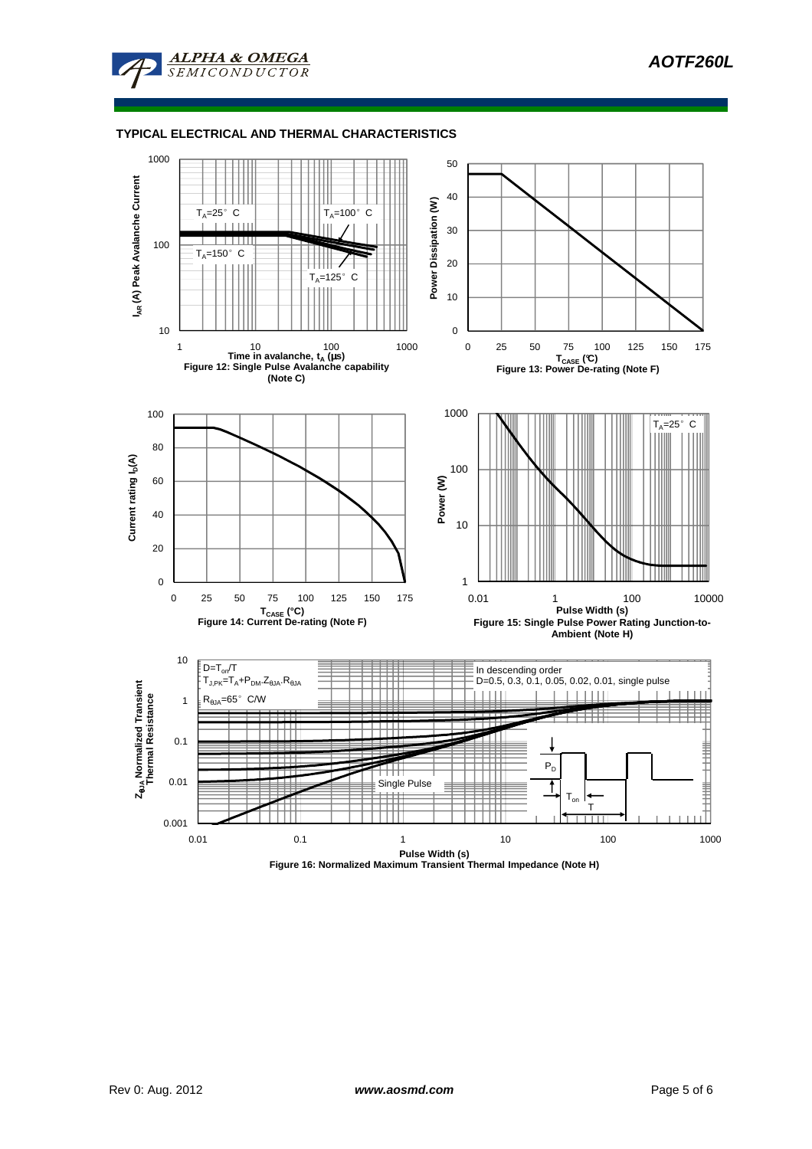**AOTF260L**



**ALPHA & OMEGA** 

 $ONDUCTOR$ 

 $SEMI$ 



**Figure 16: Normalized Maximum Transient Thermal Impedance (Note H)**